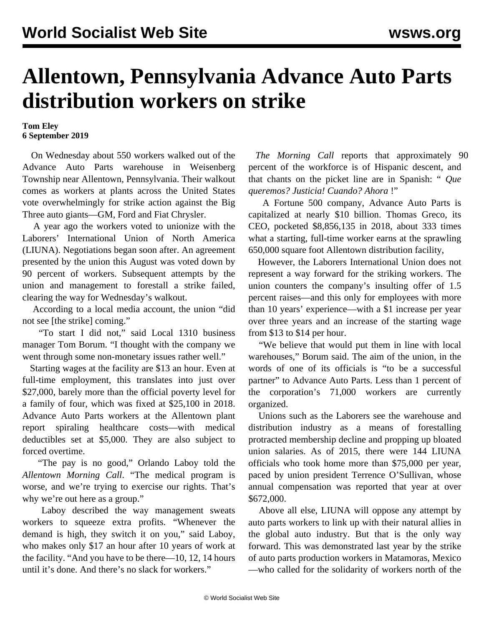## **Allentown, Pennsylvania Advance Auto Parts distribution workers on strike**

## **Tom Eley 6 September 2019**

 On Wednesday about 550 workers walked out of the Advance Auto Parts warehouse in Weisenberg Township near Allentown, Pennsylvania. Their walkout comes as workers at plants across the United States [vote](/en/articles/2019/09/04/auto-s04.html) overwhelmingly for strike action against the Big Three auto giants—GM, Ford and Fiat Chrysler.

 A year ago the workers voted to unionize with the Laborers' International Union of North America (LIUNA). Negotiations began soon after. An agreement presented by the union this August was voted down by 90 percent of workers. Subsequent attempts by the union and management to forestall a strike failed, clearing the way for Wednesday's walkout.

 According to a local media account, the union "did not see [the strike] coming."

 "To start I did not," said Local 1310 business manager Tom Borum. "I thought with the company we went through some non-monetary issues rather well."

 Starting wages at the facility are \$13 an hour. Even at full-time employment, this translates into just over \$27,000, barely more than the official poverty level for a family of four, which was fixed at \$25,100 in 2018. Advance Auto Parts workers at the Allentown plant report spiraling healthcare costs—with medical deductibles set at \$5,000. They are also subject to forced overtime.

 "The pay is no good," Orlando Laboy told the *Allentown Morning Call*. "The medical program is worse, and we're trying to exercise our rights. That's why we're out here as a group."

 Laboy described the way management sweats workers to squeeze extra profits. "Whenever the demand is high, they switch it on you," said Laboy, who makes only \$17 an hour after 10 years of work at the facility. "And you have to be there—10, 12, 14 hours until it's done. And there's no slack for workers."

 *The Morning Call* reports that approximately 90 percent of the workforce is of Hispanic descent, and that chants on the picket line are in Spanish: " *Que queremos? Justicia! Cuando? Ahora* !"

 A Fortune 500 company, Advance Auto Parts is capitalized at nearly \$10 billion. Thomas Greco, its CEO, pocketed \$8,856,135 in 2018, about 333 times what a starting, full-time worker earns at the sprawling 650,000 square foot Allentown distribution facility,

 However, the Laborers International Union does not represent a way forward for the striking workers. The union counters the company's insulting offer of 1.5 percent raises—and this only for employees with more than 10 years' experience—with a \$1 increase per year over three years and an increase of the starting wage from \$13 to \$14 per hour.

 "We believe that would put them in line with local warehouses," Borum said. The aim of the union, in the words of one of its officials is "to be a successful partner" to Advance Auto Parts. Less than 1 percent of the corporation's 71,000 workers are currently organized.

 Unions such as the Laborers see the warehouse and distribution industry as a means of forestalling protracted membership decline and propping up bloated union salaries. As of 2015, there were 144 LIUNA officials who took home more than \$75,000 per year, paced by union president Terrence O'Sullivan, whose annual compensation was reported that year at over \$672,000.

 Above all else, LIUNA will oppose any attempt by auto parts workers to link up with their natural allies in the global auto industry. But that is the only way forward. This was demonstrated last year by the strike of auto parts production workers in [Matamoras, Mexico](/en/articles/2019/03/25/mat1-m25.html) —who called for the solidarity of workers north of the